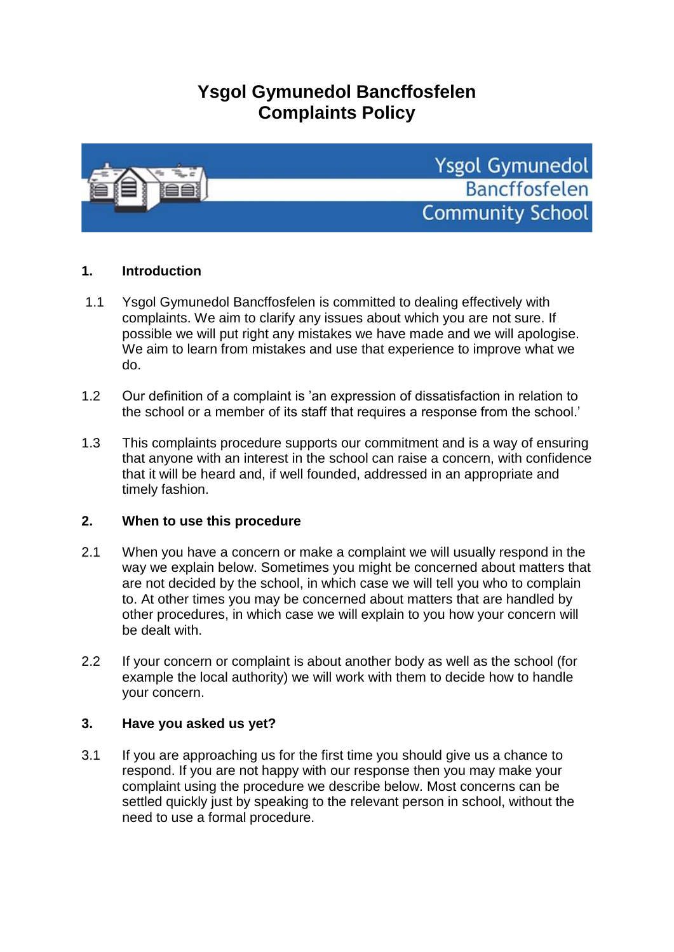# **Ysgol Gymunedol Bancffosfelen Complaints Policy**



# **1. Introduction**

- 1.1 Ysgol Gymunedol Bancffosfelen is committed to dealing effectively with complaints. We aim to clarify any issues about which you are not sure. If possible we will put right any mistakes we have made and we will apologise. We aim to learn from mistakes and use that experience to improve what we do.
- 1.2 Our definition of a complaint is 'an expression of dissatisfaction in relation to the school or a member of its staff that requires a response from the school.'
- 1.3 This complaints procedure supports our commitment and is a way of ensuring that anyone with an interest in the school can raise a concern, with confidence that it will be heard and, if well founded, addressed in an appropriate and timely fashion.

# **2. When to use this procedure**

- 2.1 When you have a concern or make a complaint we will usually respond in the way we explain below. Sometimes you might be concerned about matters that are not decided by the school, in which case we will tell you who to complain to. At other times you may be concerned about matters that are handled by other procedures, in which case we will explain to you how your concern will be dealt with.
- 2.2 If your concern or complaint is about another body as well as the school (for example the local authority) we will work with them to decide how to handle your concern.

## **3. Have you asked us yet?**

3.1 If you are approaching us for the first time you should give us a chance to respond. If you are not happy with our response then you may make your complaint using the procedure we describe below. Most concerns can be settled quickly just by speaking to the relevant person in school, without the need to use a formal procedure.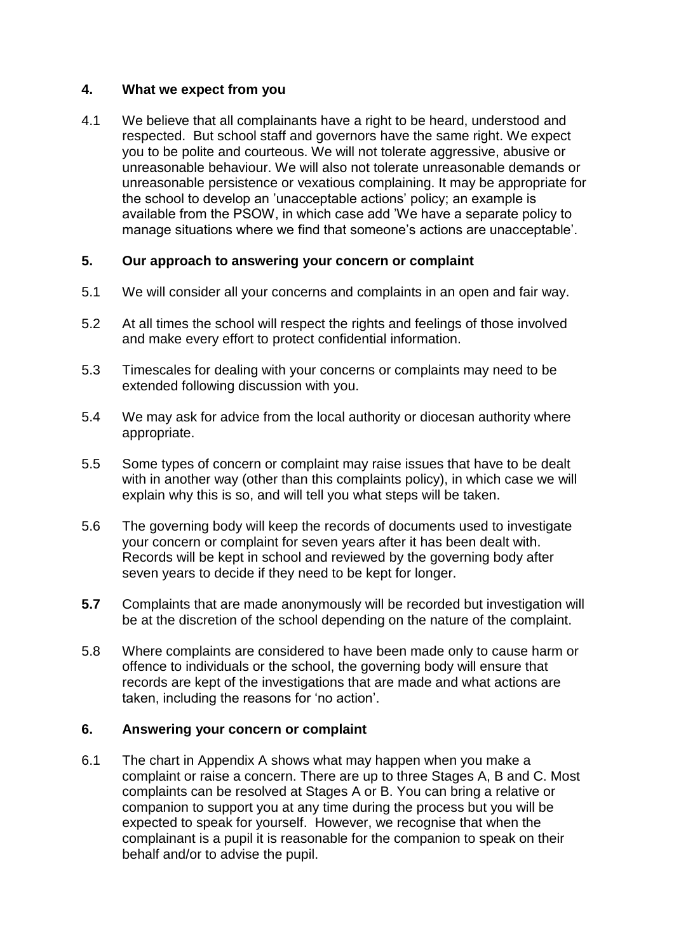# **4. What we expect from you**

4.1 We believe that all complainants have a right to be heard, understood and respected. But school staff and governors have the same right. We expect you to be polite and courteous. We will not tolerate aggressive, abusive or unreasonable behaviour. We will also not tolerate unreasonable demands or unreasonable persistence or vexatious complaining. It may be appropriate for the school to develop an 'unacceptable actions' policy; an example is available from the PSOW, in which case add 'We have a separate policy to manage situations where we find that someone's actions are unacceptable'.

# **5. Our approach to answering your concern or complaint**

- 5.1 We will consider all your concerns and complaints in an open and fair way.
- 5.2 At all times the school will respect the rights and feelings of those involved and make every effort to protect confidential information.
- 5.3 Timescales for dealing with your concerns or complaints may need to be extended following discussion with you.
- 5.4 We may ask for advice from the local authority or diocesan authority where appropriate.
- 5.5 Some types of concern or complaint may raise issues that have to be dealt with in another way (other than this complaints policy), in which case we will explain why this is so, and will tell you what steps will be taken.
- 5.6 The governing body will keep the records of documents used to investigate your concern or complaint for seven years after it has been dealt with. Records will be kept in school and reviewed by the governing body after seven years to decide if they need to be kept for longer.
- **5.7** Complaints that are made anonymously will be recorded but investigation will be at the discretion of the school depending on the nature of the complaint.
- 5.8 Where complaints are considered to have been made only to cause harm or offence to individuals or the school, the governing body will ensure that records are kept of the investigations that are made and what actions are taken, including the reasons for 'no action'.

## **6. Answering your concern or complaint**

6.1 The chart in Appendix A shows what may happen when you make a complaint or raise a concern. There are up to three Stages A, B and C. Most complaints can be resolved at Stages A or B. You can bring a relative or companion to support you at any time during the process but you will be expected to speak for yourself. However, we recognise that when the complainant is a pupil it is reasonable for the companion to speak on their behalf and/or to advise the pupil.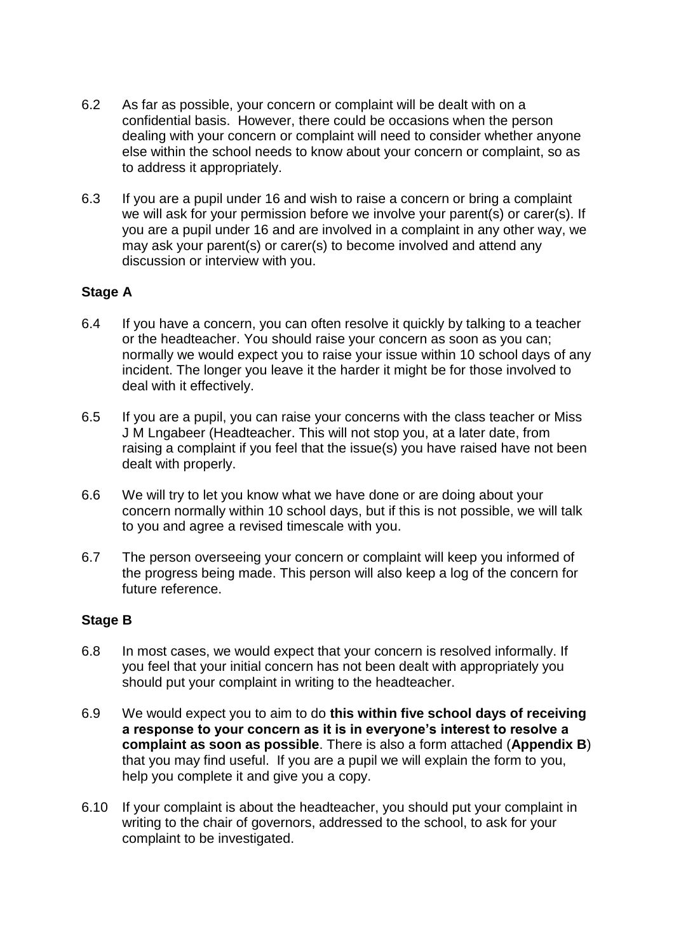- 6.2 As far as possible, your concern or complaint will be dealt with on a confidential basis. However, there could be occasions when the person dealing with your concern or complaint will need to consider whether anyone else within the school needs to know about your concern or complaint, so as to address it appropriately.
- 6.3 If you are a pupil under 16 and wish to raise a concern or bring a complaint we will ask for your permission before we involve your parent(s) or carer(s). If you are a pupil under 16 and are involved in a complaint in any other way, we may ask your parent(s) or carer(s) to become involved and attend any discussion or interview with you.

# **Stage A**

- 6.4 If you have a concern, you can often resolve it quickly by talking to a teacher or the headteacher. You should raise your concern as soon as you can; normally we would expect you to raise your issue within 10 school days of any incident. The longer you leave it the harder it might be for those involved to deal with it effectively.
- 6.5 If you are a pupil, you can raise your concerns with the class teacher or Miss J M Lngabeer (Headteacher. This will not stop you, at a later date, from raising a complaint if you feel that the issue(s) you have raised have not been dealt with properly.
- 6.6 We will try to let you know what we have done or are doing about your concern normally within 10 school days, but if this is not possible, we will talk to you and agree a revised timescale with you.
- 6.7 The person overseeing your concern or complaint will keep you informed of the progress being made. This person will also keep a log of the concern for future reference.

## **Stage B**

- 6.8 In most cases, we would expect that your concern is resolved informally. If you feel that your initial concern has not been dealt with appropriately you should put your complaint in writing to the headteacher.
- 6.9 We would expect you to aim to do **this within five school days of receiving a response to your concern as it is in everyone's interest to resolve a complaint as soon as possible**. There is also a form attached (**Appendix B**) that you may find useful. If you are a pupil we will explain the form to you, help you complete it and give you a copy.
- 6.10 If your complaint is about the headteacher, you should put your complaint in writing to the chair of governors, addressed to the school, to ask for your complaint to be investigated.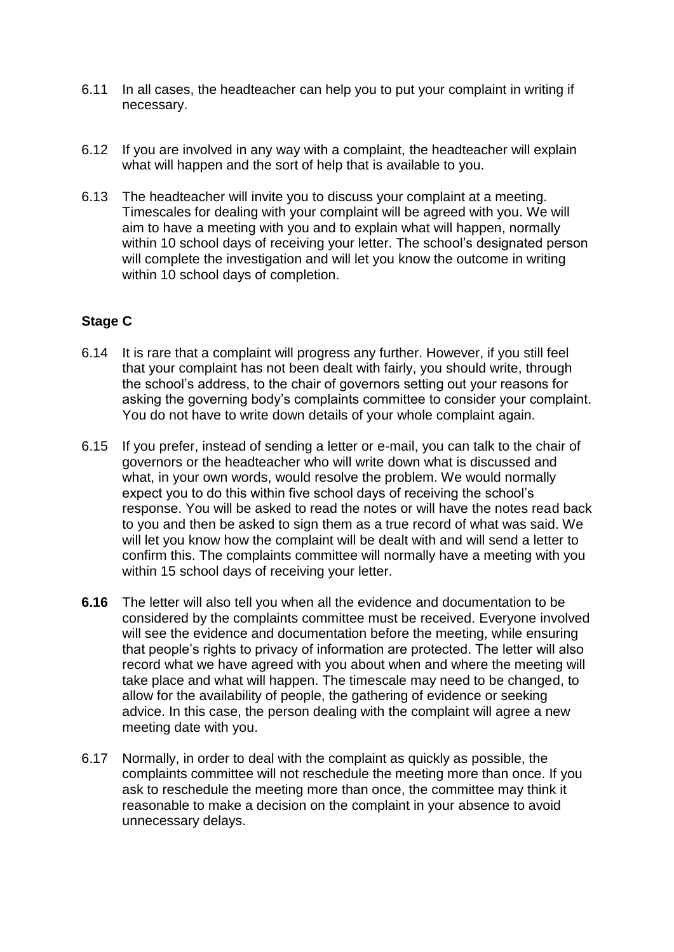- 6.11 In all cases, the headteacher can help you to put your complaint in writing if necessary.
- 6.12 If you are involved in any way with a complaint, the headteacher will explain what will happen and the sort of help that is available to you.
- 6.13 The headteacher will invite you to discuss your complaint at a meeting. Timescales for dealing with your complaint will be agreed with you. We will aim to have a meeting with you and to explain what will happen, normally within 10 school days of receiving your letter. The school's designated person will complete the investigation and will let you know the outcome in writing within 10 school days of completion.

# **Stage C**

- 6.14 It is rare that a complaint will progress any further. However, if you still feel that your complaint has not been dealt with fairly, you should write, through the school's address, to the chair of governors setting out your reasons for asking the governing body's complaints committee to consider your complaint. You do not have to write down details of your whole complaint again.
- 6.15 If you prefer, instead of sending a letter or e-mail, you can talk to the chair of governors or the headteacher who will write down what is discussed and what, in your own words, would resolve the problem. We would normally expect you to do this within five school days of receiving the school's response. You will be asked to read the notes or will have the notes read back to you and then be asked to sign them as a true record of what was said. We will let you know how the complaint will be dealt with and will send a letter to confirm this. The complaints committee will normally have a meeting with you within 15 school days of receiving your letter.
- **6.16** The letter will also tell you when all the evidence and documentation to be considered by the complaints committee must be received. Everyone involved will see the evidence and documentation before the meeting, while ensuring that people's rights to privacy of information are protected. The letter will also record what we have agreed with you about when and where the meeting will take place and what will happen. The timescale may need to be changed, to allow for the availability of people, the gathering of evidence or seeking advice. In this case, the person dealing with the complaint will agree a new meeting date with you.
- 6.17 Normally, in order to deal with the complaint as quickly as possible, the complaints committee will not reschedule the meeting more than once. If you ask to reschedule the meeting more than once, the committee may think it reasonable to make a decision on the complaint in your absence to avoid unnecessary delays.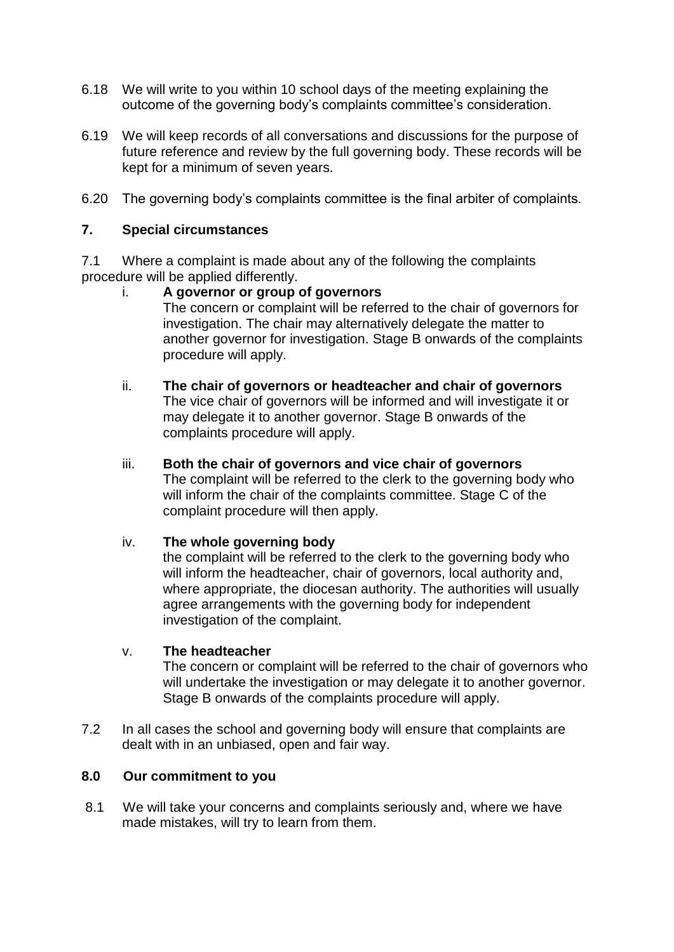- 6.18 We will write to you within 10 school days of the meeting explaining the outcome of the governing body's complaints committee's consideration.
- 6.19 We will keep records of all conversations and discussions for the purpose of future reference and review by the full governing body. These records will be kept for a minimum of seven years.
- 6.20 The governing body's complaints committee is the final arbiter of complaints.

## **7. Special circumstances**

7.1 Where a complaint is made about any of the following the complaints procedure will be applied differently.

- i. **A governor or group of governors** The concern or complaint will be referred to the chair of governors for investigation. The chair may alternatively delegate the matter to another governor for investigation. Stage B onwards of the complaints procedure will apply.
- ii. **The chair of governors or headteacher and chair of governors** The vice chair of governors will be informed and will investigate it or may delegate it to another governor. Stage B onwards of the complaints procedure will apply.
- iii. **Both the chair of governors and vice chair of governors** The complaint will be referred to the clerk to the governing body who will inform the chair of the complaints committee. Stage C of the complaint procedure will then apply.

#### iv. **The whole governing body**

the complaint will be referred to the clerk to the governing body who will inform the headteacher, chair of governors, local authority and, where appropriate, the diocesan authority. The authorities will usually agree arrangements with the governing body for independent investigation of the complaint.

#### v. **The headteacher**

The concern or complaint will be referred to the chair of governors who will undertake the investigation or may delegate it to another governor. Stage B onwards of the complaints procedure will apply.

7.2 In all cases the school and governing body will ensure that complaints are dealt with in an unbiased, open and fair way.

## **8.0 Our commitment to you**

8.1 We will take your concerns and complaints seriously and, where we have made mistakes, will try to learn from them.